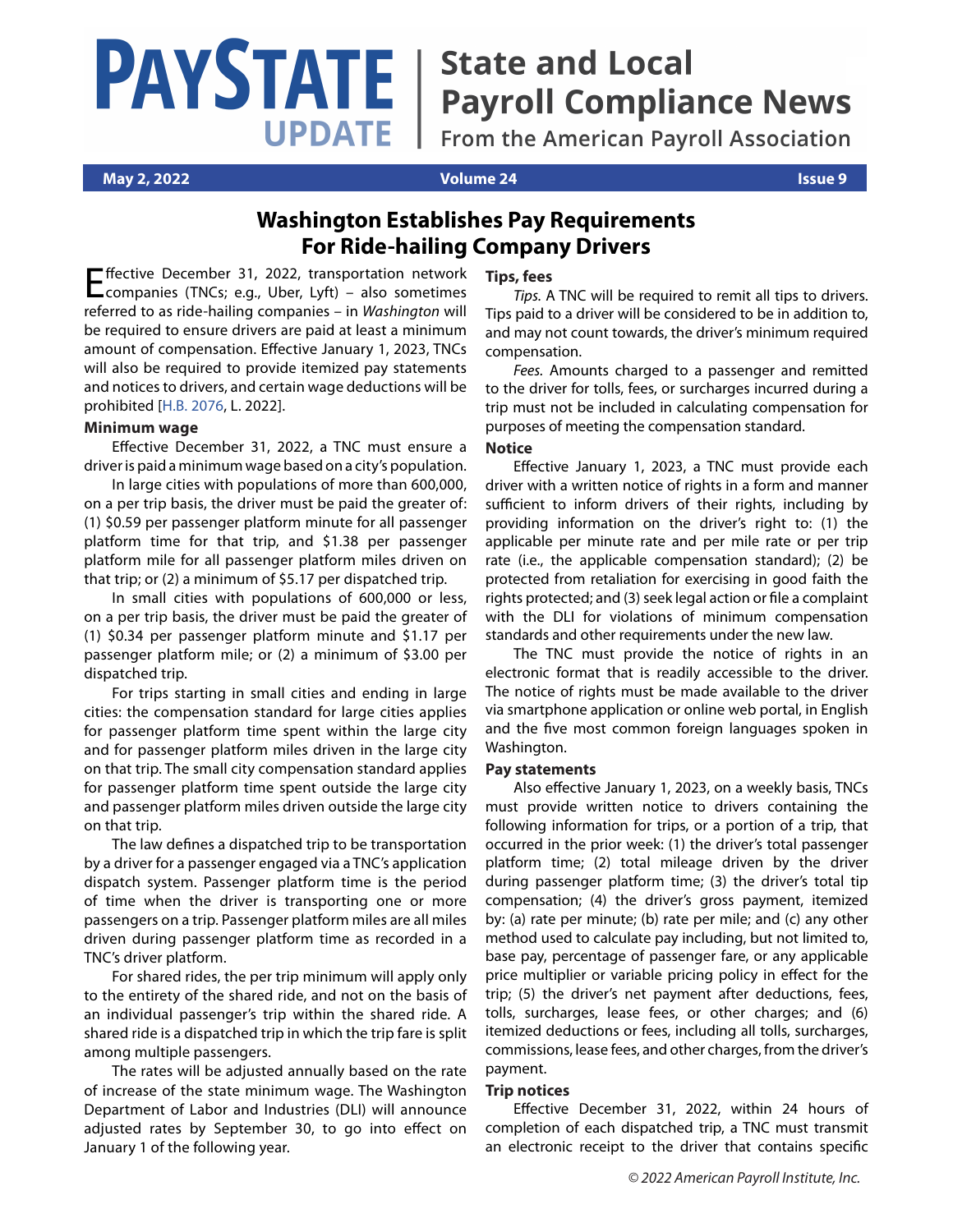## **State and Local Payroll Compliance News**

**From the American Payroll Association** 

**May 2, 2022 Contract Contract Contract Contract Contract Contract Contract Contract Contract Contract Contract Contract Contract Contract Contract Contract Contract Contract Contract Contract Contract Contract Contract** 

## **Washington Establishes Pay Requirements For Ride-hailing Company Drivers**

Effective December 31, 2022, transportation network companies (TNCs; e.g., Uber, Lyft) – also sometimes referred to as ride-hailing companies – in *Washington* will be required to ensure drivers are paid at least a minimum amount of compensation. Effective January 1, 2023, TNCs will also be required to provide itemized pay statements and notices to drivers, and certain wage deductions will be prohibited [\[H.B. 2076,](https://app.leg.wa.gov/billsummary?BillNumber=2076&Year=2021&Initiative=false) L. 2022].

**PAYSTATE** 

**UPDATE** 

#### **Minimum wage**

Effective December 31, 2022, a TNC must ensure a driver is paid a minimum wage based on a city's population.

In large cities with populations of more than 600,000, on a per trip basis, the driver must be paid the greater of: (1) \$0.59 per passenger platform minute for all passenger platform time for that trip, and \$1.38 per passenger platform mile for all passenger platform miles driven on that trip; or (2) a minimum of \$5.17 per dispatched trip.

In small cities with populations of 600,000 or less, on a per trip basis, the driver must be paid the greater of (1) \$0.34 per passenger platform minute and \$1.17 per passenger platform mile; or (2) a minimum of \$3.00 per dispatched trip.

For trips starting in small cities and ending in large cities: the compensation standard for large cities applies for passenger platform time spent within the large city and for passenger platform miles driven in the large city on that trip. The small city compensation standard applies for passenger platform time spent outside the large city and passenger platform miles driven outside the large city on that trip.

The law defines a dispatched trip to be transportation by a driver for a passenger engaged via a TNC's application dispatch system. Passenger platform time is the period of time when the driver is transporting one or more passengers on a trip. Passenger platform miles are all miles driven during passenger platform time as recorded in a TNC's driver platform.

For shared rides, the per trip minimum will apply only to the entirety of the shared ride, and not on the basis of an individual passenger's trip within the shared ride. A shared ride is a dispatched trip in which the trip fare is split among multiple passengers.

The rates will be adjusted annually based on the rate of increase of the state minimum wage. The Washington Department of Labor and Industries (DLI) will announce adjusted rates by September 30, to go into effect on January 1 of the following year.

#### **Tips, fees**

*Tips.* A TNC will be required to remit all tips to drivers. Tips paid to a driver will be considered to be in addition to, and may not count towards, the driver's minimum required compensation.

*Fees.* Amounts charged to a passenger and remitted to the driver for tolls, fees, or surcharges incurred during a trip must not be included in calculating compensation for purposes of meeting the compensation standard.

#### **Notice**

Effective January 1, 2023, a TNC must provide each driver with a written notice of rights in a form and manner sufficient to inform drivers of their rights, including by providing information on the driver's right to: (1) the applicable per minute rate and per mile rate or per trip rate (i.e., the applicable compensation standard); (2) be protected from retaliation for exercising in good faith the rights protected; and (3) seek legal action or file a complaint with the DLI for violations of minimum compensation standards and other requirements under the new law.

The TNC must provide the notice of rights in an electronic format that is readily accessible to the driver. The notice of rights must be made available to the driver via smartphone application or online web portal, in English and the five most common foreign languages spoken in Washington.

#### **Pay statements**

Also effective January 1, 2023, on a weekly basis, TNCs must provide written notice to drivers containing the following information for trips, or a portion of a trip, that occurred in the prior week: (1) the driver's total passenger platform time; (2) total mileage driven by the driver during passenger platform time; (3) the driver's total tip compensation; (4) the driver's gross payment, itemized by: (a) rate per minute; (b) rate per mile; and (c) any other method used to calculate pay including, but not limited to, base pay, percentage of passenger fare, or any applicable price multiplier or variable pricing policy in effect for the trip; (5) the driver's net payment after deductions, fees, tolls, surcharges, lease fees, or other charges; and (6) itemized deductions or fees, including all tolls, surcharges, commissions, lease fees, and other charges, from the driver's payment.

#### **Trip notices**

Effective December 31, 2022, within 24 hours of completion of each dispatched trip, a TNC must transmit an electronic receipt to the driver that contains specific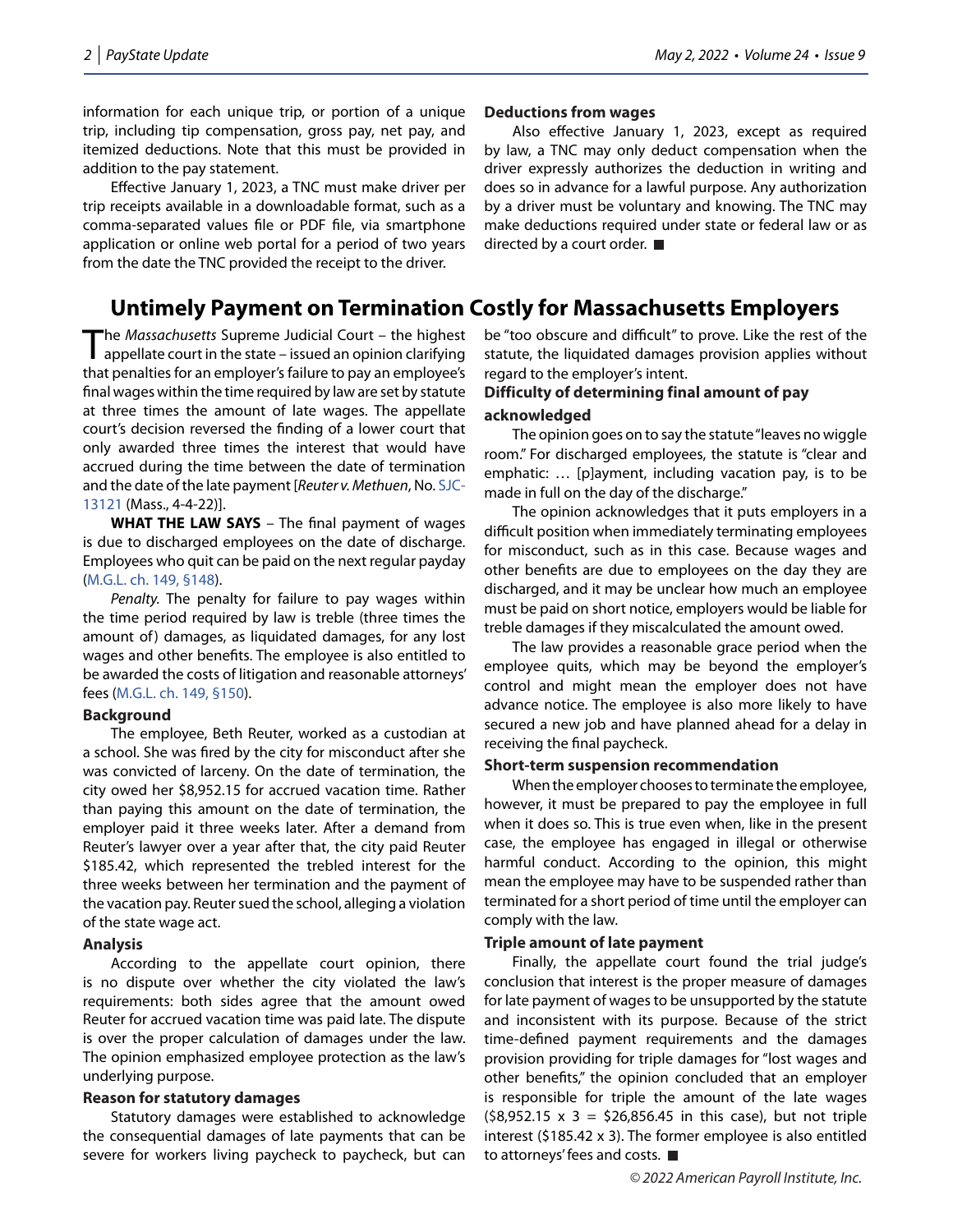information for each unique trip, or portion of a unique trip, including tip compensation, gross pay, net pay, and itemized deductions. Note that this must be provided in addition to the pay statement.

Effective January 1, 2023, a TNC must make driver per trip receipts available in a downloadable format, such as a comma-separated values file or PDF file, via smartphone application or online web portal for a period of two years from the date the TNC provided the receipt to the driver.

## **Untimely Payment on Termination Costly for Massachusetts Employers**

The *Massachusetts* Supreme Judicial Court – the highest appellate court in the state – issued an opinion clarifying that penalties for an employer's failure to pay an employee's final wages within the time required by law are set by statute at three times the amount of late wages. The appellate court's decision reversed the finding of a lower court that only awarded three times the interest that would have accrued during the time between the date of termination and the date of the late payment [*Reuter v. Methuen*, No. [SJC-](http://masscases.com/cases/sjc/489/489mass465.html)[13121](http://masscases.com/cases/sjc/489/489mass465.html) (Mass., 4-4-22)].

**WHAT THE LAW SAYS** – The final payment of wages is due to discharged employees on the date of discharge. Employees who quit can be paid on the next regular payday [\(M.G.L. ch. 149, §148\)](https://malegislature.gov/Laws/GeneralLaws/PartI/TitleXXI/Chapter149/Section148).

*Penalty.* The penalty for failure to pay wages within the time period required by law is treble (three times the amount of) damages, as liquidated damages, for any lost wages and other benefits. The employee is also entitled to be awarded the costs of litigation and reasonable attorneys' fees ([M.G.L. ch. 149, §150\)](https://malegislature.gov/Laws/GeneralLaws/PartI/TitleXXI/Chapter149/Section150).

#### **Background**

The employee, Beth Reuter, worked as a custodian at a school. She was fired by the city for misconduct after she was convicted of larceny. On the date of termination, the city owed her \$8,952.15 for accrued vacation time. Rather than paying this amount on the date of termination, the employer paid it three weeks later. After a demand from Reuter's lawyer over a year after that, the city paid Reuter \$185.42, which represented the trebled interest for the three weeks between her termination and the payment of the vacation pay. Reuter sued the school, alleging a violation of the state wage act.

#### **Analysis**

According to the appellate court opinion, there is no dispute over whether the city violated the law's requirements: both sides agree that the amount owed Reuter for accrued vacation time was paid late. The dispute is over the proper calculation of damages under the law. The opinion emphasized employee protection as the law's underlying purpose.

#### **Reason for statutory damages**

Statutory damages were established to acknowledge the consequential damages of late payments that can be severe for workers living paycheck to paycheck, but can

#### **Deductions from wages**

Also effective January 1, 2023, except as required by law, a TNC may only deduct compensation when the driver expressly authorizes the deduction in writing and does so in advance for a lawful purpose. Any authorization by a driver must be voluntary and knowing. The TNC may make deductions required under state or federal law or as directed by a court order. ■

be "too obscure and difficult" to prove. Like the rest of the statute, the liquidated damages provision applies without regard to the employer's intent.

### **Difficulty of determining final amount of pay**

#### **acknowledged**

The opinion goes on to say the statute "leaves no wiggle room." For discharged employees, the statute is "clear and emphatic: … [p]ayment, including vacation pay, is to be made in full on the day of the discharge."

The opinion acknowledges that it puts employers in a difficult position when immediately terminating employees for misconduct, such as in this case. Because wages and other benefits are due to employees on the day they are discharged, and it may be unclear how much an employee must be paid on short notice, employers would be liable for treble damages if they miscalculated the amount owed.

The law provides a reasonable grace period when the employee quits, which may be beyond the employer's control and might mean the employer does not have advance notice. The employee is also more likely to have secured a new job and have planned ahead for a delay in receiving the final paycheck.

#### **Short-term suspension recommendation**

When the employer chooses to terminate the employee, however, it must be prepared to pay the employee in full when it does so. This is true even when, like in the present case, the employee has engaged in illegal or otherwise harmful conduct. According to the opinion, this might mean the employee may have to be suspended rather than terminated for a short period of time until the employer can comply with the law.

#### **Triple amount of late payment**

Finally, the appellate court found the trial judge's conclusion that interest is the proper measure of damages for late payment of wages to be unsupported by the statute and inconsistent with its purpose. Because of the strict time-defined payment requirements and the damages provision providing for triple damages for "lost wages and other benefits," the opinion concluded that an employer is responsible for triple the amount of the late wages  $(58,952.15 \times 3 = 526,856.45$  in this case), but not triple interest (\$185.42 x 3). The former employee is also entitled to attorneys' fees and costs.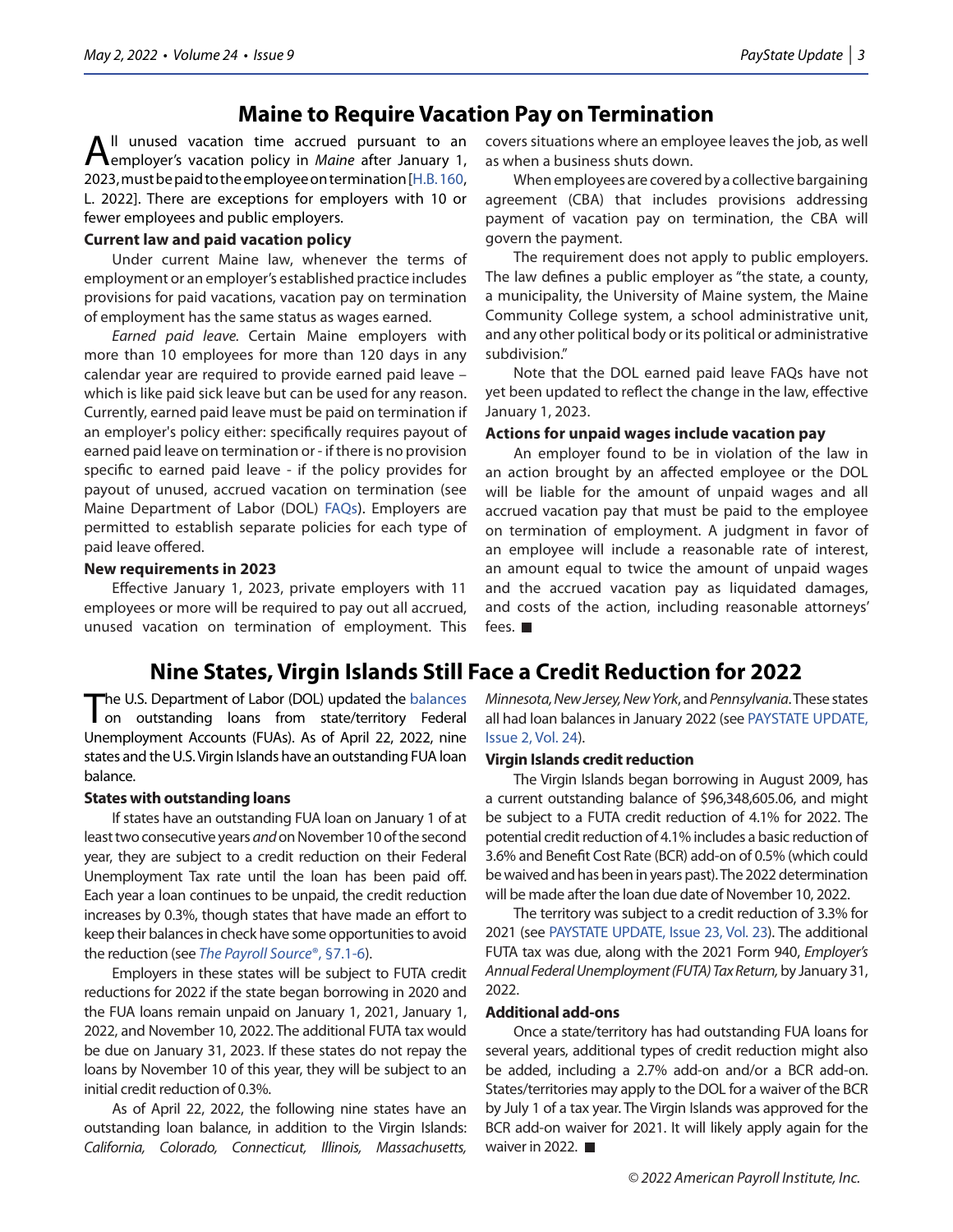## **Maine to Require Vacation Pay on Termination**

All unused vacation time accrued pursuant to an **A**employer's vacation policy in *Maine* after January 1, 2023, must be paid to the employee on termination [\[H.B. 160,](https://legislature.maine.gov/legis/bills/getPDF.asp?paper=HP0160&item=3&snum=130) L. 2022]. There are exceptions for employers with 10 or fewer employees and public employers.

#### **Current law and paid vacation policy**

Under current Maine law, whenever the terms of employment or an employer's established practice includes provisions for paid vacations, vacation pay on termination of employment has the same status as wages earned.

*Earned paid leave.* Certain Maine employers with more than 10 employees for more than 120 days in any calendar year are required to provide earned paid leave – which is like paid sick leave but can be used for any reason. Currently, earned paid leave must be paid on termination if an employer's policy either: specifically requires payout of earned paid leave on termination or - if there is no provision specific to earned paid leave - if the policy provides for payout of unused, accrued vacation on termination (see Maine Department of Labor (DOL) [FAQs\)](https://www.maine.gov/labor/labor_laws/earnedpaidleave/eplfaq/index6.shtml). Employers are permitted to establish separate policies for each type of paid leave offered.

#### **New requirements in 2023**

Effective January 1, 2023, private employers with 11 employees or more will be required to pay out all accrued, unused vacation on termination of employment. This covers situations where an employee leaves the job, as well as when a business shuts down.

When employees are covered by a collective bargaining agreement (CBA) that includes provisions addressing payment of vacation pay on termination, the CBA will govern the payment.

The requirement does not apply to public employers. The law defines a public employer as "the state, a county, a municipality, the University of Maine system, the Maine Community College system, a school administrative unit, and any other political body or its political or administrative subdivision."

Note that the DOL earned paid leave FAQs have not yet been updated to reflect the change in the law, effective January 1, 2023.

#### **Actions for unpaid wages include vacation pay**

An employer found to be in violation of the law in an action brought by an affected employee or the DOL will be liable for the amount of unpaid wages and all accrued vacation pay that must be paid to the employee on termination of employment. A judgment in favor of an employee will include a reasonable rate of interest, an amount equal to twice the amount of unpaid wages and the accrued vacation pay as liquidated damages, and costs of the action, including reasonable attorneys' fees.

## **Nine States, Virgin Islands Still Face a Credit Reduction for 2022**

The U.S. Department of Labor (DOL) updated the [balances](https://oui.doleta.gov/unemploy/budget.asp)<br>
on outstanding loans from state/territory Federal Unemployment Accounts (FUAs). As of April 22, 2022, nine states and the U.S. Virgin Islands have an outstanding FUA loan balance.

#### **States with outstanding loans**

If states have an outstanding FUA loan on January 1 of at least two consecutive years *and* on November 10 of the second year, they are subject to a credit reduction on their Federal Unemployment Tax rate until the loan has been paid off. Each year a loan continues to be unpaid, the credit reduction increases by 0.3%, though states that have made an effort to keep their balances in check have some opportunities to avoid the reduction (see *[The Payroll Source](https://bookshelf.americanpayroll.org/payroll_source/212)*®, §7.1-6).

Employers in these states will be subject to FUTA credit reductions for 2022 if the state began borrowing in 2020 and the FUA loans remain unpaid on January 1, 2021, January 1, 2022, and November 10, 2022. The additional FUTA tax would be due on January 31, 2023. If these states do not repay the loans by November 10 of this year, they will be subject to an initial credit reduction of 0.3%.

As of April 22, 2022, the following nine states have an outstanding loan balance, in addition to the Virgin Islands: *California, Colorado, Connecticut, Illinois, Massachusetts,*  *Minnesota, New Jersey, New York*, and *Pennsylvania*. These states all had loan balances in January 2022 (see [PAYSTATE UPDATE,](https://bookshelf.americanpayroll.org/psu2202/3)  [Issue 2, Vol. 24](https://bookshelf.americanpayroll.org/psu2202/3)).

#### **Virgin Islands credit reduction**

The Virgin Islands began borrowing in August 2009, has a current outstanding balance of \$96,348,605.06, and might be subject to a FUTA credit reduction of 4.1% for 2022. The potential credit reduction of 4.1% includes a basic reduction of 3.6% and Benefit Cost Rate (BCR) add-on of 0.5% (which could be waived and has been in years past). The 2022 determination will be made after the loan due date of November 10, 2022.

The territory was subject to a credit reduction of 3.3% for 2021 (see [PAYSTATE UPDATE, Issue 23, Vol. 23](https://bookshelf.americanpayroll.org/psu2123/1)). The additional FUTA tax was due, along with the 2021 Form 940, *Employer's Annual Federal Unemployment (FUTA) Tax Return,* by January 31, 2022.

#### **Additional add-ons**

Once a state/territory has had outstanding FUA loans for several years, additional types of credit reduction might also be added, including a 2.7% add-on and/or a BCR add-on. States/territories may apply to the DOL for a waiver of the BCR by July 1 of a tax year. The Virgin Islands was approved for the BCR add-on waiver for 2021. It will likely apply again for the waiver in 2022.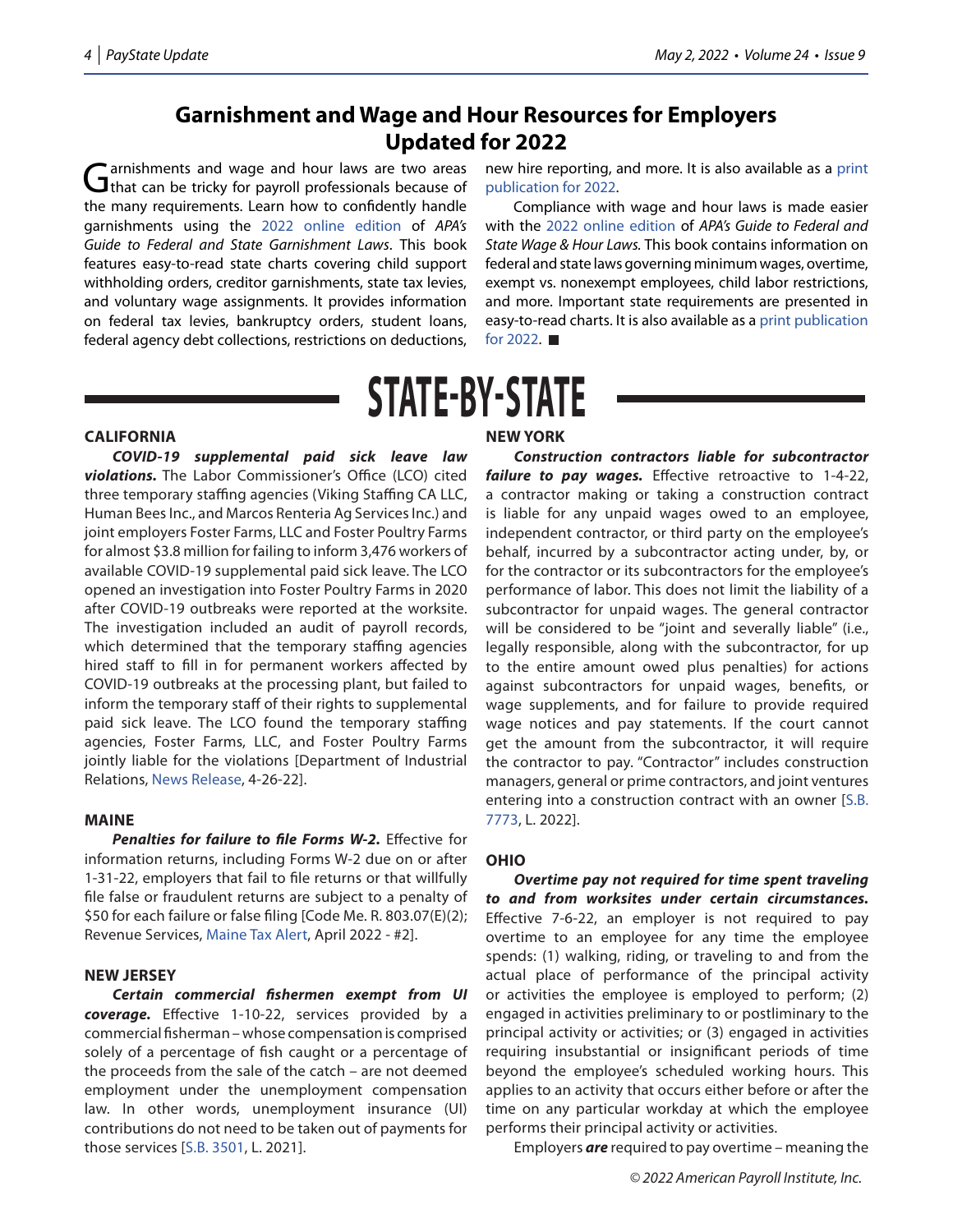## **Garnishment and Wage and Hour Resources for Employers Updated for 2022**

Garnishments and wage and hour laws are two areas that can be tricky for payroll professionals because of the many requirements. Learn how to confidently handle garnishments using the [2022 online edition](https://ebiz.americanpayroll.org/ebusiness/ProductCatalog/Product.aspx?ID=13349&utm_source=CategoryPage&_ga=2.26237053.1391006546.1650897894-14907748.1649263330) of *APA's Guide to Federal and State Garnishment Laws*. This book features easy-to-read state charts covering child support withholding orders, creditor garnishments, state tax levies, and voluntary wage assignments. It provides information on federal tax levies, bankruptcy orders, student loans, federal agency debt collections, restrictions on deductions,

new hire reporting, and more. It is also available as a [print](https://ebiz.americanpayroll.org/ebusiness/ProductCatalog/Product.aspx?ID=13328&utm_source=CategoryPage&_ga=2.26237053.1391006546.1650897894-14907748.1649263330) [publication for 2022.](https://ebiz.americanpayroll.org/ebusiness/ProductCatalog/Product.aspx?ID=13328&utm_source=CategoryPage&_ga=2.26237053.1391006546.1650897894-14907748.1649263330)

Compliance with wage and hour laws is made easier with the [2022 online edition](https://ebiz.americanpayroll.org/ebusiness/ProductCatalog/Product.aspx?ID=13350&utm_source=CategoryPage&_ga=2.60545901.1391006546.1650897894-14907748.1649263330) of *APA's Guide to Federal and State Wage & Hour Laws.* This book contains information on federal and state laws governing minimum wages, overtime, exempt vs. nonexempt employees, child labor restrictions, and more. Important state requirements are presented in easy-to-read charts. It is also available as a [print publication](https://ebiz.americanpayroll.org/ebusiness/ProductCatalog/Product.aspx?ID=13329&utm_source=CategoryPage&_ga=2.60545901.1391006546.1650897894-14907748.1649263330)  [for 2022](https://ebiz.americanpayroll.org/ebusiness/ProductCatalog/Product.aspx?ID=13329&utm_source=CategoryPage&_ga=2.60545901.1391006546.1650897894-14907748.1649263330). **■** 

# **STATE-BY-STATE**

### **CALIFORNIA**

*COVID-19 supplemental paid sick leave law violations.* The Labor Commissioner's Office (LCO) cited three temporary staffing agencies (Viking Staffing CA LLC, Human Bees Inc., and Marcos Renteria Ag Services Inc.) and joint employers Foster Farms, LLC and Foster Poultry Farms for almost \$3.8 million for failing to inform 3,476 workers of available COVID-19 supplemental paid sick leave. The LCO opened an investigation into Foster Poultry Farms in 2020 after COVID-19 outbreaks were reported at the worksite. The investigation included an audit of payroll records, which determined that the temporary staffing agencies hired staff to fill in for permanent workers affected by COVID-19 outbreaks at the processing plant, but failed to inform the temporary staff of their rights to supplemental paid sick leave. The LCO found the temporary staffing agencies, Foster Farms, LLC, and Foster Poultry Farms jointly liable for the violations [Department of Industrial Relations, [News Release](https://www.dir.ca.gov/DIRNews/2022/2022-35.html), 4-26-22].

#### **MAINE**

*Penalties for failure to file Forms W-2.* Effective for information returns, including Forms W-2 due on or after 1-31-22, employers that fail to file returns or that willfully file false or fraudulent returns are subject to a penalty of \$50 for each failure or false filing [Code Me. R. 803.07(E)(2); Revenue Services, [Maine Tax Alert,](https://www.maine.gov/revenue/sites/maine.gov.revenue/files/inline-files/ta_apr2022_vol32_iss11.pdf) April 2022 - #2].

#### **NEW JERSEY**

*Certain commercial fishermen exempt from UI coverage.* Effective 1-10-22, services provided by a commercial fisherman – whose compensation is comprised solely of a percentage of fish caught or a percentage of the proceeds from the sale of the catch – are not deemed employment under the unemployment compensation law. In other words, unemployment insurance (UI) contributions do not need to be taken out of payments for those services [\[S.B. 3501](https://www.njleg.state.nj.us/bill-search/2020/S3501), L. 2021].

#### **NEW YORK**

*Construction contractors liable for subcontractor failure to pay wages.* Effective retroactive to 1-4-22, a contractor making or taking a construction contract is liable for any unpaid wages owed to an employee, independent contractor, or third party on the employee's behalf, incurred by a subcontractor acting under, by, or for the contractor or its subcontractors for the employee's performance of labor. This does not limit the liability of a subcontractor for unpaid wages. The general contractor will be considered to be "joint and severally liable" (i.e., legally responsible, along with the subcontractor, for up to the entire amount owed plus penalties) for actions against subcontractors for unpaid wages, benefits, or wage supplements, and for failure to provide required wage notices and pay statements. If the court cannot get the amount from the subcontractor, it will require the contractor to pay. "Contractor" includes construction managers, general or prime contractors, and joint ventures entering into a construction contract with an owner [[S.B.](https://www.nysenate.gov/legislation/bills/2021/s7773) [7773](https://www.nysenate.gov/legislation/bills/2021/s7773), L. 2022].

#### **OHIO**

*Overtime pay not required for time spent traveling to and from worksites under certain circumstances.* Effective 7-6-22, an employer is not required to pay overtime to an employee for any time the employee spends: (1) walking, riding, or traveling to and from the actual place of performance of the principal activity or activities the employee is employed to perform; (2) engaged in activities preliminary to or postliminary to the principal activity or activities; or (3) engaged in activities requiring insubstantial or insignificant periods of time beyond the employee's scheduled working hours. This applies to an activity that occurs either before or after the time on any particular workday at which the employee performs their principal activity or activities.

Employers *are* required to pay overtime – meaning the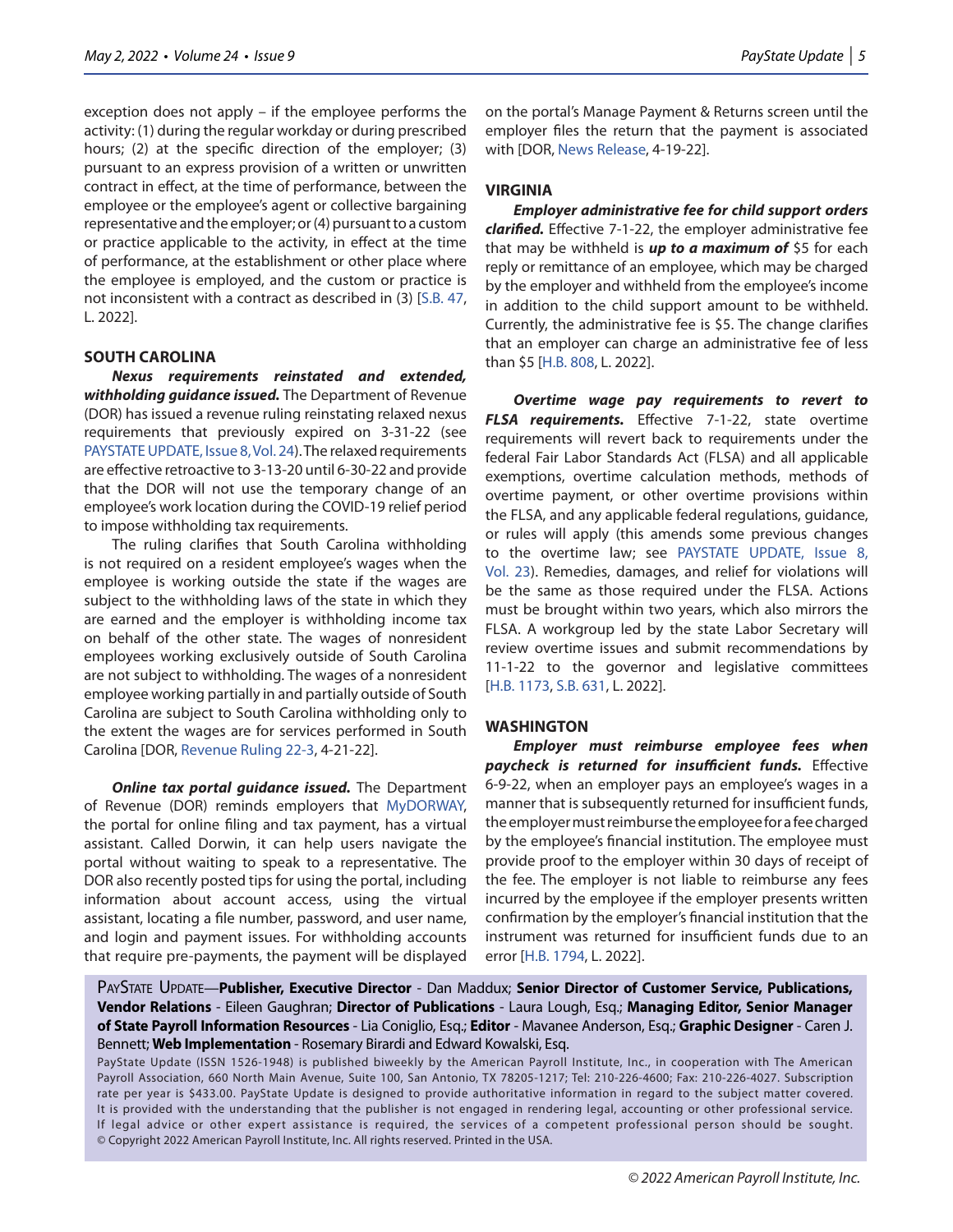exception does not apply – if the employee performs the activity: (1) during the regular workday or during prescribed hours; (2) at the specific direction of the employer; (3) pursuant to an express provision of a written or unwritten contract in effect, at the time of performance, between the employee or the employee's agent or collective bargaining representative and the employer; or (4) pursuant to a custom or practice applicable to the activity, in effect at the time of performance, at the establishment or other place where the employee is employed, and the custom or practice is not inconsistent with a contract as described in (3) [[S.B. 47,](https://ohiosenate.gov/legislation/GA134-SB-47) L. 2022].

#### **SOUTH CAROLINA**

*Nexus requirements reinstated and extended, withholding guidance issued.* The Department of Revenue (DOR) has issued a revenue ruling reinstating relaxed nexus requirements that previously expired on 3-31-22 (see [PAYSTATE UPDATE, Issue 8, Vol. 24](https://bookshelf.americanpayroll.org/psu2208/5)). The relaxed requirements are effective retroactive to 3-13-20 until 6-30-22 and provide that the DOR will not use the temporary change of an employee's work location during the COVID-19 relief period to impose withholding tax requirements.

The ruling clarifies that South Carolina withholding is not required on a resident employee's wages when the employee is working outside the state if the wages are subject to the withholding laws of the state in which they are earned and the employer is withholding income tax on behalf of the other state. The wages of nonresident employees working exclusively outside of South Carolina are not subject to withholding. The wages of a nonresident employee working partially in and partially outside of South Carolina are subject to South Carolina withholding only to the extent the wages are for services performed in South Carolina [DOR, [Revenue Ruling 22-3](https://dor.sc.gov/resources-site/lawandpolicy/Advisory%20Opinions/RR22-3.pdf), 4-21-22].

*Online tax portal guidance issued.* The Department of Revenue (DOR) reminds employers that [MyDORWAY,](https://dor.sc.gov/mydorway) the portal for online filing and tax payment, has a virtual assistant. Called Dorwin, it can help users navigate the portal without waiting to speak to a representative. The DOR also recently posted tips for using the portal, including information about account access, using the virtual assistant, locating a file number, password, and user name, and login and payment issues. For withholding accounts that require pre-payments, the payment will be displayed on the portal's Manage Payment & Returns screen until the employer files the return that the payment is associated with [DOR, [News Release](https://dor.sc.gov/resources-site/media-site/Pages/SCDOR-provides-tips-to-help-customers-with-MyDORWAY.aspx), 4-19-22].

#### **VIRGINIA**

*Employer administrative fee for child support orders clarified.* Effective 7-1-22, the employer administrative fee that may be withheld is *up to a maximum of* \$5 for each reply or remittance of an employee, which may be charged by the employer and withheld from the employee's income in addition to the child support amount to be withheld. Currently, the administrative fee is \$5. The change clarifies that an employer can charge an administrative fee of less than \$5 [[H.B. 808](https://lis.virginia.gov/cgi-bin/legp604.exe?ses=221&typ=bil&val=HB808&submit=GO), L. 2022].

*Overtime wage pay requirements to revert to FLSA requirements.* Effective 7-1-22, state overtime requirements will revert back to requirements under the federal Fair Labor Standards Act (FLSA) and all applicable exemptions, overtime calculation methods, methods of overtime payment, or other overtime provisions within the FLSA, and any applicable federal regulations, guidance, or rules will apply (this amends some previous changes to the overtime law; see [PAYSTATE UPDATE, Issue 8,](https://bookshelf.americanpayroll.org/psu2108/1) [Vol. 23](https://bookshelf.americanpayroll.org/psu2108/1)). Remedies, damages, and relief for violations will be the same as those required under the FLSA. Actions must be brought within two years, which also mirrors the FLSA. A workgroup led by the state Labor Secretary will review overtime issues and submit recommendations by 11-1-22 to the governor and legislative committees [[H.B. 1173](https://lis.virginia.gov/cgi-bin/legp604.exe?221+sum+HB1173), [S.B. 631](https://lis.virginia.gov/cgi-bin/legp604.exe?221+sum+SB631), L. 2022].

#### **WASHINGTON**

*Employer must reimburse employee fees when paycheck is returned for insufficient funds.* Effective 6-9-22, when an employer pays an employee's wages in a manner that is subsequently returned for insufficient funds, the employer must reimburse the employee for a fee charged by the employee's financial institution. The employee must provide proof to the employer within 30 days of receipt of the fee. The employer is not liable to reimburse any fees incurred by the employee if the employer presents written confirmation by the employer's financial institution that the instrument was returned for insufficient funds due to an error [\[H.B. 1794,](https://app.leg.wa.gov/billsummary?BillNumber=1794&Year=2021&Initiative=false) L. 2022].

PayState Update—**Publisher, Executive Director** - Dan Maddux; **Senior Director of Customer Service, Publications, Vendor Relations** - Eileen Gaughran; **Director of Publications** - Laura Lough, Esq.; **Managing Editor, Senior Manager of State Payroll Information Resources** - Lia Coniglio, Esq.; **Editor** - Mavanee Anderson, Esq.; **Graphic Designer** - Caren J. Bennett; **Web Implementation** - Rosemary Birardi and Edward Kowalski, Esq.

PayState Update (ISSN 1526-1948) is published biweekly by the American Payroll Institute, Inc., in cooperation with The American Payroll Association, 660 North Main Avenue, Suite 100, San Antonio, TX 78205-1217; Tel: 210-226-4600; Fax: 210-226-4027. Subscription rate per year is \$433.00. PayState Update is designed to provide authoritative information in regard to the subject matter covered. It is provided with the understanding that the publisher is not engaged in rendering legal, accounting or other professional service. If legal advice or other expert assistance is required, the services of a competent professional person should be sought. © Copyright 2022 American Payroll Institute, Inc. All rights reserved. Printed in the USA.